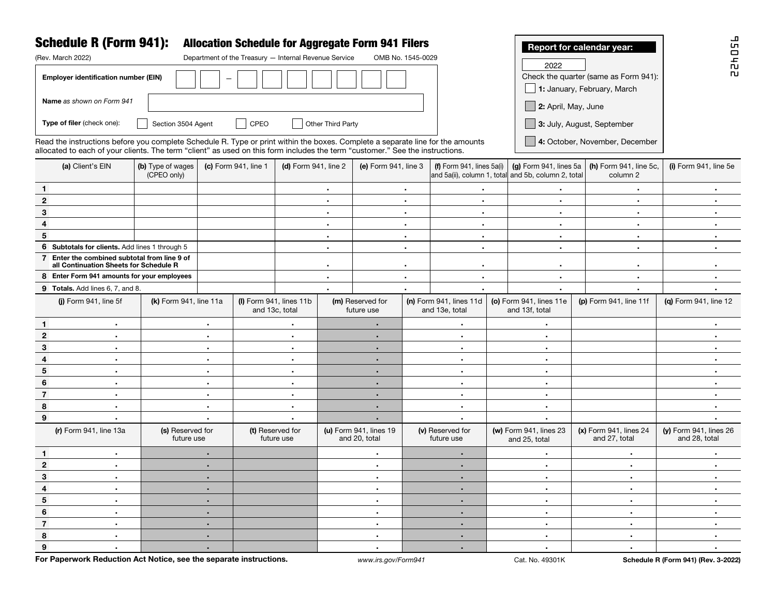| <b>Schedule R (Form 941):</b><br><b>Allocation Schedule for Aggregate Form 941 Filers</b><br>Report for calendar year:<br>(Rev. March 2022)<br>Department of the Treasury - Internal Revenue Service<br>OMB No. 1545-0029 |                                                                                                                                                                                                                                                                                                   |                                |                        |           |                                             |                             |                                         |           |                                                                                       |                             |                                           | 95D                                                                  |                                         |
|---------------------------------------------------------------------------------------------------------------------------------------------------------------------------------------------------------------------------|---------------------------------------------------------------------------------------------------------------------------------------------------------------------------------------------------------------------------------------------------------------------------------------------------|--------------------------------|------------------------|-----------|---------------------------------------------|-----------------------------|-----------------------------------------|-----------|---------------------------------------------------------------------------------------|-----------------------------|-------------------------------------------|----------------------------------------------------------------------|-----------------------------------------|
|                                                                                                                                                                                                                           | Employer identification number (EIN)                                                                                                                                                                                                                                                              |                                |                        |           |                                             |                             |                                         |           |                                                                                       |                             | 2022                                      | Check the quarter (same as Form 941):<br>1: January, February, March | $\frac{1}{10}$<br><b>n</b>              |
|                                                                                                                                                                                                                           | Name as shown on Form 941<br>$\Box$ 2: April, May, June                                                                                                                                                                                                                                           |                                |                        |           |                                             |                             |                                         |           |                                                                                       |                             |                                           |                                                                      |                                         |
|                                                                                                                                                                                                                           | Type of filer (check one):<br>Other Third Party<br>Section 3504 Agent<br>$\vert$ CPEO<br>3: July, August, September                                                                                                                                                                               |                                |                        |           |                                             |                             |                                         |           |                                                                                       |                             |                                           |                                                                      |                                         |
|                                                                                                                                                                                                                           | 4: October, November, December<br>Read the instructions before you complete Schedule R. Type or print within the boxes. Complete a separate line for the amounts<br>allocated to each of your clients. The term "client" as used on this form includes the term "customer." See the instructions. |                                |                        |           |                                             |                             |                                         |           |                                                                                       |                             |                                           |                                                                      |                                         |
|                                                                                                                                                                                                                           | (b) Type of wages<br>(a) Client's EIN<br>(CPEO only)                                                                                                                                                                                                                                              |                                | (c) Form 941, line 1   |           | (d) Form 941, line 2                        |                             | (e) Form 941, line 3                    |           | (f) Form $941$ , lines $5a(i)$<br>and 5a(ii), column 1, total and 5b, column 2, total |                             | (g) Form 941, lines 5a                    | (h) Form 941, line 5c,<br>column 2                                   | (i) Form 941, line 5e                   |
| $\mathbf{1}$                                                                                                                                                                                                              |                                                                                                                                                                                                                                                                                                   |                                |                        |           |                                             | $\sim$                      | $\bullet$                               |           | $\bullet$                                                                             |                             | ٠                                         | $\bullet$                                                            | $\bullet$                               |
| $\mathbf{2}$                                                                                                                                                                                                              |                                                                                                                                                                                                                                                                                                   |                                |                        |           |                                             | $\bullet$                   |                                         | $\sim$    | $\bullet$                                                                             |                             | $\blacksquare$                            | $\blacksquare$                                                       | ٠.                                      |
| $\bf{3}$                                                                                                                                                                                                                  |                                                                                                                                                                                                                                                                                                   |                                |                        |           | $\bullet$                                   |                             | $\sim$                                  |           | $\bullet$                                                                             |                             | $\bullet$                                 | $\bullet$                                                            | $\bullet$                               |
| 4                                                                                                                                                                                                                         |                                                                                                                                                                                                                                                                                                   |                                |                        |           | $\bullet$                                   |                             | $\sim$                                  |           | $\bullet$                                                                             |                             | $\bullet$                                 | $\bullet$                                                            | ٠.                                      |
| 5                                                                                                                                                                                                                         |                                                                                                                                                                                                                                                                                                   |                                |                        | $\bullet$ |                                             | $\sim$                      |                                         | $\bullet$ |                                                                                       | $\blacksquare$              | $\bullet$                                 | ٠.                                                                   |                                         |
| 6 Subtotals for clients. Add lines 1 through 5                                                                                                                                                                            |                                                                                                                                                                                                                                                                                                   |                                |                        |           |                                             | $\bullet$                   |                                         | $\bullet$ |                                                                                       | $\bullet$<br>$\blacksquare$ |                                           | $\bullet$                                                            | ٠.                                      |
| 7 Enter the combined subtotal from line 9 of<br>all Continuation Sheets for Schedule R                                                                                                                                    |                                                                                                                                                                                                                                                                                                   |                                |                        |           |                                             |                             |                                         | $\bullet$ |                                                                                       | $\bullet$                   |                                           | $\bullet$                                                            |                                         |
| 8 Enter Form 941 amounts for your employees                                                                                                                                                                               |                                                                                                                                                                                                                                                                                                   |                                |                        |           |                                             | $\bullet$                   |                                         |           | $\blacksquare$<br>$\bullet$                                                           |                             | $\bullet$                                 | $\bullet$                                                            | ٠.                                      |
|                                                                                                                                                                                                                           | 9 Totals. Add lines 6, 7, and 8.                                                                                                                                                                                                                                                                  |                                |                        |           |                                             |                             |                                         |           |                                                                                       | $\bullet$                   | $\blacksquare$                            |                                                                      |                                         |
|                                                                                                                                                                                                                           | (i) Form 941, line 5f                                                                                                                                                                                                                                                                             |                                | (k) Form 941, line 11a |           | $(I)$ Form 941, lines 11b<br>and 13c, total |                             | (m) Reserved for<br>future use          |           | $(n)$ Form 941, lines 11d<br>and 13e, total                                           |                             | (o) Form 941, lines 11e<br>and 13f, total | (p) Form 941, line 11f                                               | (g) Form 941, line 12                   |
| $\mathbf{1}$                                                                                                                                                                                                              | $\blacksquare$                                                                                                                                                                                                                                                                                    |                                | $\bullet$              |           | ٠                                           |                             | $\bullet$                               |           | $\bullet$                                                                             |                             | $\bullet$ .                               |                                                                      | $\bullet$                               |
| $\boldsymbol{2}$                                                                                                                                                                                                          | ٠                                                                                                                                                                                                                                                                                                 |                                | ٠                      |           | $\bullet$                                   |                             | $\bullet$                               |           | $\bullet$                                                                             |                             | $\bullet$ .                               |                                                                      | ٠.                                      |
| $\bf{3}$                                                                                                                                                                                                                  | $\blacksquare$                                                                                                                                                                                                                                                                                    |                                | $\bullet$              |           | $\bullet$                                   |                             | $\blacksquare$                          |           | $\bullet$                                                                             |                             | $\sim$                                    |                                                                      |                                         |
| 4                                                                                                                                                                                                                         | $\bullet$                                                                                                                                                                                                                                                                                         |                                | $\bullet$              |           | $\bullet$                                   |                             | $\blacksquare$                          |           | $\blacksquare$                                                                        |                             | $\sim$                                    |                                                                      | ٠                                       |
| 5                                                                                                                                                                                                                         | $\bullet$                                                                                                                                                                                                                                                                                         |                                | $\bullet$              |           | $\bullet$                                   |                             | $\blacksquare$                          |           | $\bullet$                                                                             |                             | $\sim$                                    |                                                                      |                                         |
| 6                                                                                                                                                                                                                         | ٠                                                                                                                                                                                                                                                                                                 |                                | $\bullet$              |           | $\bullet$                                   |                             | $\blacksquare$                          |           | $\bullet$                                                                             |                             | $\sim$                                    |                                                                      |                                         |
| $\overline{7}$                                                                                                                                                                                                            | ٠                                                                                                                                                                                                                                                                                                 | $\bullet$                      |                        | $\bullet$ |                                             | $\blacksquare$              |                                         | $\bullet$ |                                                                                       | $\sim$                      |                                           | ٠.                                                                   |                                         |
| 8                                                                                                                                                                                                                         | ٠                                                                                                                                                                                                                                                                                                 | $\bullet$                      |                        | $\bullet$ | $\blacksquare$                              | $\bullet$                   |                                         |           | $\sim$                                                                                |                             |                                           |                                                                      |                                         |
| 9                                                                                                                                                                                                                         | $\bullet$                                                                                                                                                                                                                                                                                         | $\bullet$                      |                        | $\bullet$ |                                             | $\bullet$<br>$\blacksquare$ |                                         | $\bullet$ |                                                                                       |                             |                                           |                                                                      |                                         |
|                                                                                                                                                                                                                           | (r) Form 941, line 13a                                                                                                                                                                                                                                                                            | (s) Reserved for<br>future use |                        |           | (t) Reserved for<br>future use              |                             | (u) Form 941, lines 19<br>and 20, total |           | (v) Reserved for<br>future use                                                        |                             | (w) Form 941, lines 23<br>and 25, total   | (x) Form 941, lines 24<br>and 27, total                              | (y) Form 941, lines 26<br>and 28, total |
| $\mathbf{1}$                                                                                                                                                                                                              | $\blacksquare$                                                                                                                                                                                                                                                                                    |                                | ٠                      |           |                                             | $\bullet$                   |                                         | ٠         |                                                                                       | $\blacksquare$              |                                           | $\sim$                                                               |                                         |
| $\mathbf{2}$                                                                                                                                                                                                              | $\blacksquare$                                                                                                                                                                                                                                                                                    |                                | ٠                      |           |                                             | $\bullet$                   |                                         |           | $\blacksquare$                                                                        |                             | $\sim$                                    | $\sim$                                                               | ٠.                                      |
| 3                                                                                                                                                                                                                         |                                                                                                                                                                                                                                                                                                   |                                |                        |           |                                             |                             |                                         |           |                                                                                       |                             |                                           | $\sim$                                                               |                                         |
| 4                                                                                                                                                                                                                         | $\mathbf{R}^{\text{max}}$                                                                                                                                                                                                                                                                         |                                | $\bullet$ .            |           |                                             | $\sim$                      |                                         |           | $\sim$                                                                                |                             | $\sim$                                    | $\sim$                                                               | $\sim$                                  |
| 5 <sup>5</sup>                                                                                                                                                                                                            | $\mathbf{r}$ .                                                                                                                                                                                                                                                                                    |                                | $\blacksquare$         |           |                                             | $\mathbf{r}$ .              |                                         | $\sim$    |                                                                                       | $\sim$                      |                                           | $\sim$                                                               | $\sim$                                  |
| 6                                                                                                                                                                                                                         | $\sim$                                                                                                                                                                                                                                                                                            |                                | ٠.                     |           |                                             | $\mathbf{r}$ .              |                                         |           | $\sim$                                                                                |                             | $\sim$                                    | $\sim$                                                               | $\bullet$ .                             |
| $\overline{7}$                                                                                                                                                                                                            | $\sim$                                                                                                                                                                                                                                                                                            | $\sim$                         |                        |           | $\mathbf{r}$ .                              |                             |                                         | $\sim$    |                                                                                       | $\sim$                      | $\sim$                                    | $\bullet$ .                                                          |                                         |
| 8                                                                                                                                                                                                                         | $\mathbf{u}$ .                                                                                                                                                                                                                                                                                    | $\bullet$ .                    |                        | $\sim$    |                                             |                             |                                         | $\sim$    |                                                                                       | $\sim$                      | $\sim$                                    | $\sim$                                                               |                                         |
| 9                                                                                                                                                                                                                         | $\mathbf{u}$ .                                                                                                                                                                                                                                                                                    |                                |                        |           |                                             | $\mathbf{r}$ .              |                                         | $\sim$    |                                                                                       | $\sim$                      | $\sim$                                    | $\mathbf{H}^{\text{max}}$                                            |                                         |

For Paperwork Reduction Act Notice, see the separate instructions. *www.irs.gov/Form941* **Cat. No. 49301K** Schedule R (Form 941) (Rev. 3-2022)